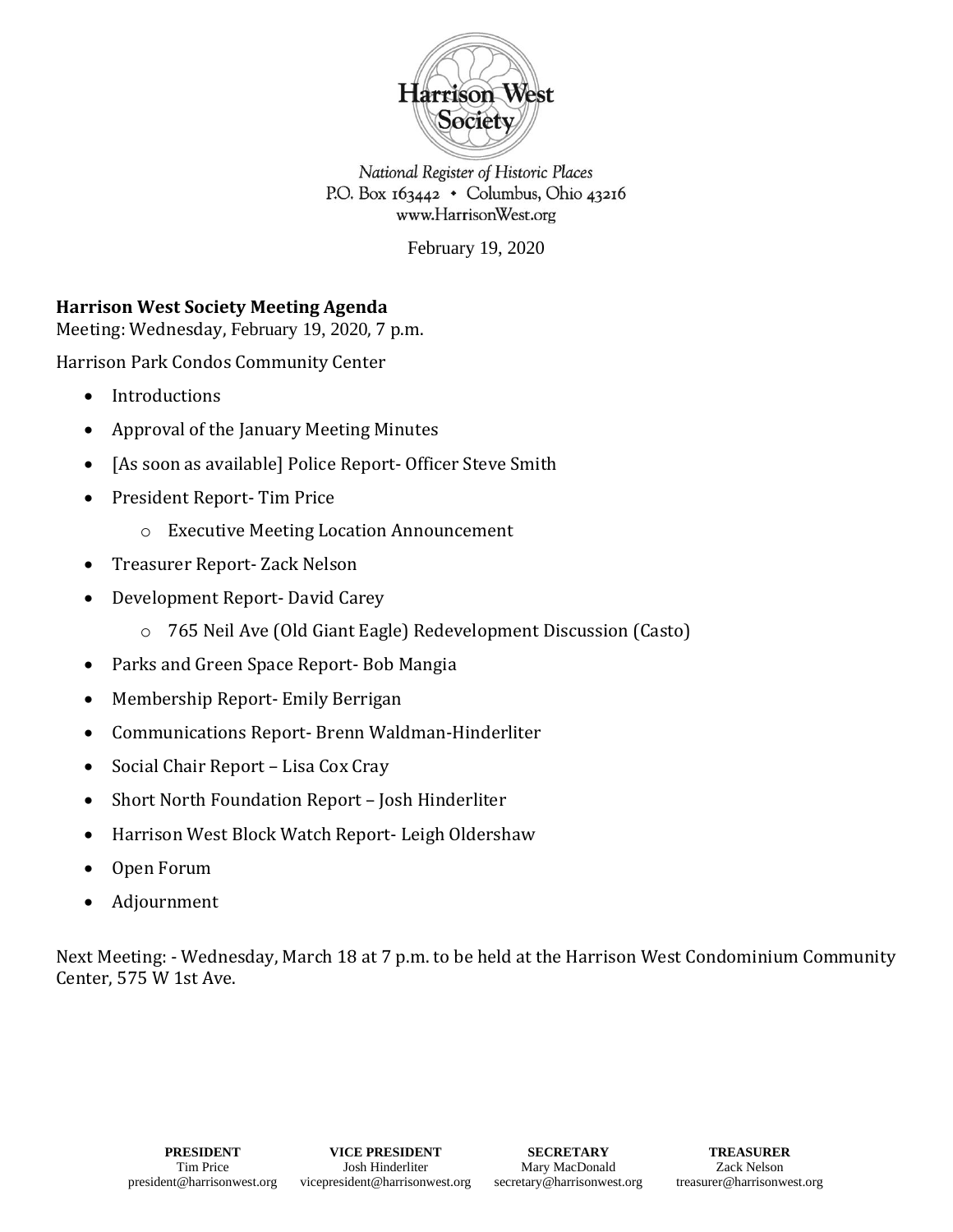

National Register of Historic Places P.O. Box 163442 . Columbus, Ohio 43216 www.HarrisonWest.org

February 19, 2020

## **Harrison West Society Meeting Agenda**

Meeting: Wednesday, February 19, 2020, 7 p.m.

Harrison Park Condos Community Center

- Introductions
- Approval of the January Meeting Minutes
- [As soon as available] Police Report- Officer Steve Smith
- President Report- Tim Price
	- o Executive Meeting Location Announcement
- Treasurer Report- Zack Nelson
- Development Report- David Carey
	- o 765 Neil Ave (Old Giant Eagle) Redevelopment Discussion (Casto)
- Parks and Green Space Report- Bob Mangia
- Membership Report- Emily Berrigan
- Communications Report- Brenn Waldman-Hinderliter
- Social Chair Report Lisa Cox Cray
- Short North Foundation Report Josh Hinderliter
- Harrison West Block Watch Report- Leigh Oldershaw
- Open Forum
- Adjournment

Next Meeting: - Wednesday, March 18 at 7 p.m. to be held at the Harrison West Condominium Community Center, 575 W 1st Ave.